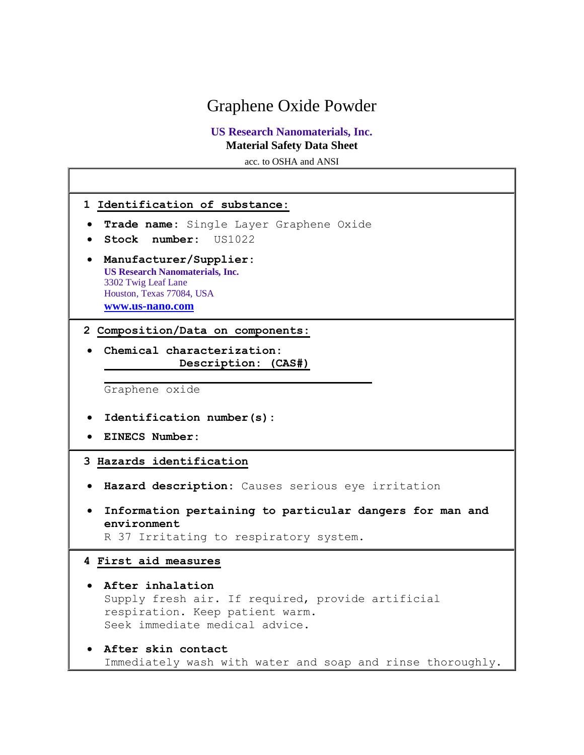# Graphene Oxide Powder

## **US Research Nanomaterials, Inc. Material Safety Data Sheet**

acc. to OSHA and ANSI

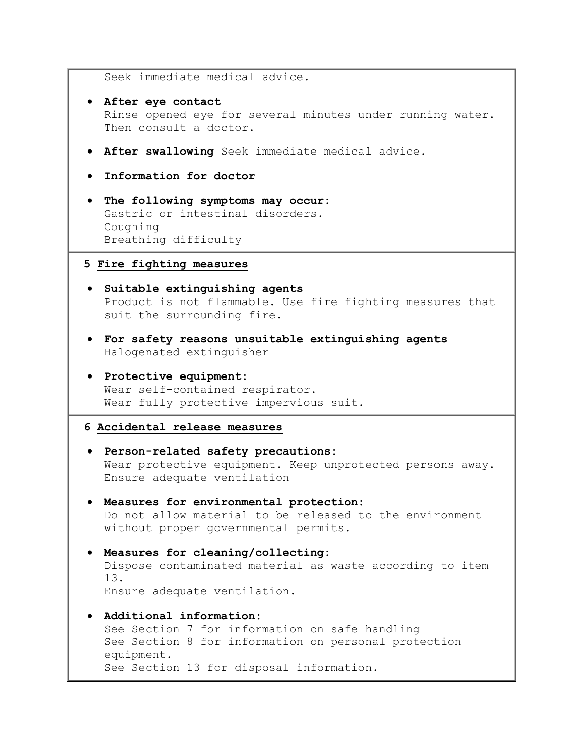Seek immediate medical advice.

- **After eye contact** Rinse opened eye for several minutes under running water. Then consult a doctor.
- **After swallowing** Seek immediate medical advice.
- **Information for doctor**
- **The following symptoms may occur:** Gastric or intestinal disorders. Coughing Breathing difficulty

#### **5 Fire fighting measures**

- **Suitable extinguishing agents** Product is not flammable. Use fire fighting measures that suit the surrounding fire.
- **For safety reasons unsuitable extinguishing agents** Halogenated extinguisher
- **Protective equipment:** Wear self-contained respirator. Wear fully protective impervious suit.

#### **6 Accidental release measures**

- **Person-related safety precautions:** Wear protective equipment. Keep unprotected persons away. Ensure adequate ventilation
- **Measures for environmental protection:** Do not allow material to be released to the environment without proper governmental permits.
- **Measures for cleaning/collecting:** Dispose contaminated material as waste according to item 13. Ensure adequate ventilation.
- **Additional information:** See Section 7 for information on safe handling See Section 8 for information on personal protection equipment. See Section 13 for disposal information.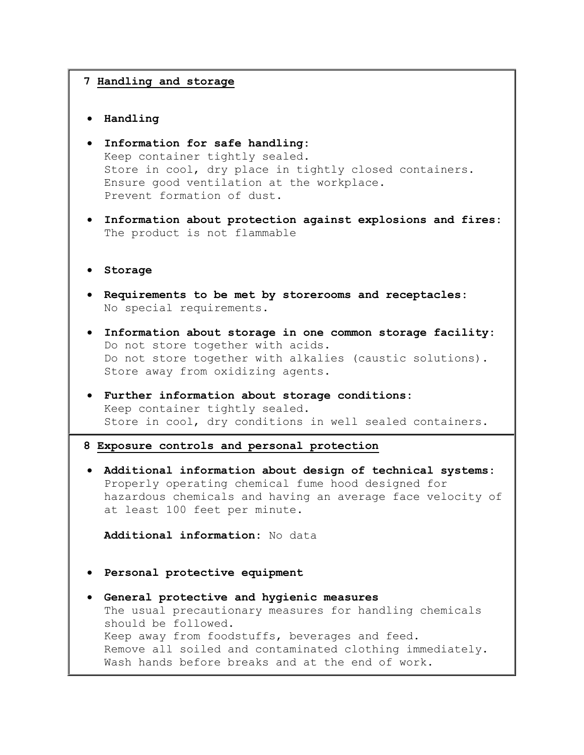#### **7 Handling and storage**

- **Handling**
- **Information for safe handling:** Keep container tightly sealed. Store in cool, dry place in tightly closed containers. Ensure good ventilation at the workplace. Prevent formation of dust.
- **Information about protection against explosions and fires:** The product is not flammable
- **Storage**
- **Requirements to be met by storerooms and receptacles:** No special requirements.
- **Information about storage in one common storage facility:** Do not store together with acids. Do not store together with alkalies (caustic solutions). Store away from oxidizing agents.
- **Further information about storage conditions:** Keep container tightly sealed. Store in cool, dry conditions in well sealed containers.
- **8 Exposure controls and personal protection**
- **Additional information about design of technical systems:** Properly operating chemical fume hood designed for hazardous chemicals and having an average face velocity of at least 100 feet per minute.

**Additional information:** No data

- **Personal protective equipment**
- **General protective and hygienic measures** The usual precautionary measures for handling chemicals should be followed. Keep away from foodstuffs, beverages and feed. Remove all soiled and contaminated clothing immediately. Wash hands before breaks and at the end of work.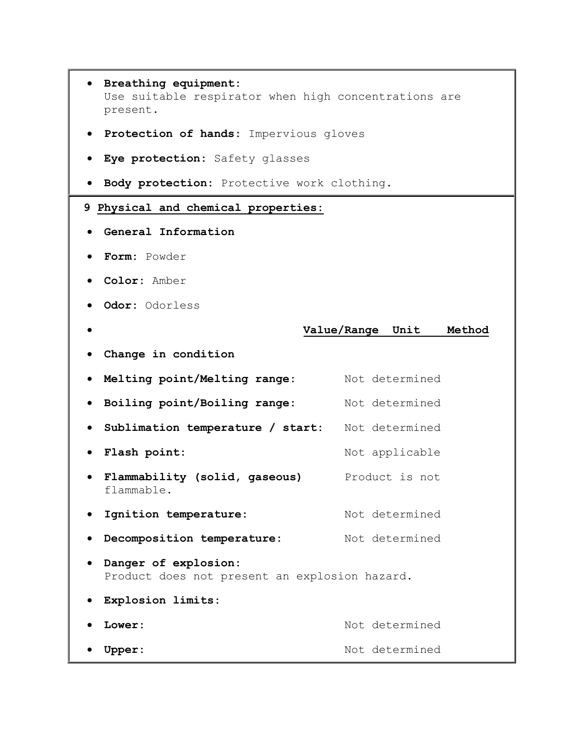- **Breathing equipment:** Use suitable respirator when high concentrations are present.
- **Protection of hands:** Impervious gloves
- **Eye protection:** Safety glasses
- **Body protection:** Protective work clothing.

### **9 Physical and chemical properties:**

- **General Information**
- **Form:** Powder
- **Color:** Amber
- **Odor:** Odorless

#### **Value/Range Unit Method**

**Change in condition**

|           | . Melting point/Melting range:                                        | Not determined |
|-----------|-----------------------------------------------------------------------|----------------|
|           | • Boiling point/Boiling range:                                        | Not determined |
|           | • Sublimation temperature / start:                                    | Not determined |
|           | • Flash point:                                                        | Not applicable |
| $\bullet$ | Flammability (solid, gaseous)<br>flammable.                           | Product is not |
|           | • Ignition temperature:                                               | Not determined |
|           | Decomposition temperature:                                            | Not determined |
| $\bullet$ | Danger of explosion:<br>Product does not present an explosion hazard. |                |

- **Explosion limits:**
- Lower: Not determined
- **Upper:** Not determined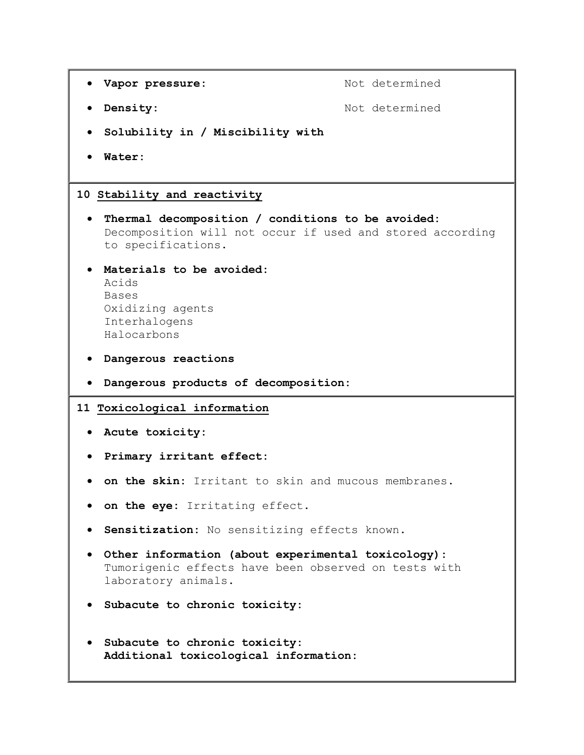```
• Vapor pressure: Not determined
 • Density: Not determined
  Solubility in / Miscibility with
   Water: 
10 Stability and reactivity
  Thermal decomposition / conditions to be avoided:
   Decomposition will not occur if used and stored according 
   to specifications. 
  Materials to be avoided:
   Acids 
   Bases 
   Oxidizing agents 
   Interhalogens 
   Halocarbons 
  Dangerous reactions 
  Dangerous products of decomposition: 
11 Toxicological information
  Acute toxicity:
  Primary irritant effect:
  on the skin: Irritant to skin and mucous membranes. 
  on the eye: Irritating effect. 
  Sensitization: No sensitizing effects known. 
  Other information (about experimental toxicology):
   Tumorigenic effects have been observed on tests with 
   laboratory animals. 
  Subacute to chronic toxicity:
  Subacute to chronic toxicity:
   Additional toxicological information:
```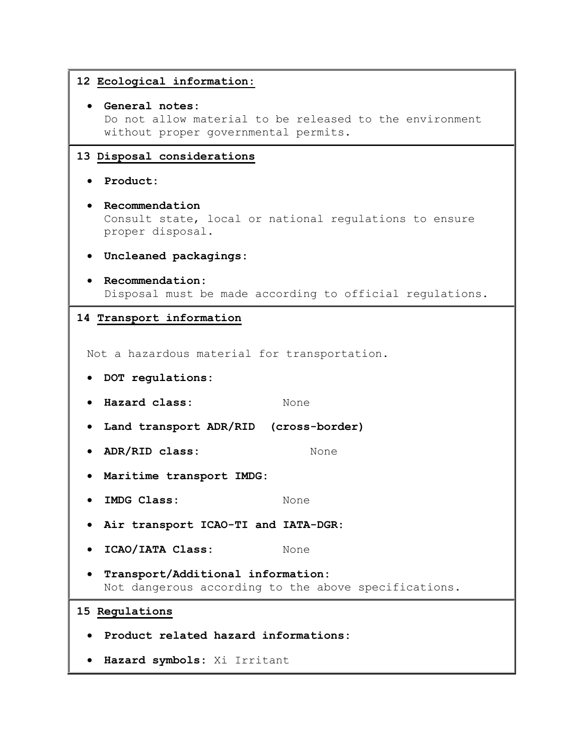| 12 Ecological information:                                                                                        |  |  |
|-------------------------------------------------------------------------------------------------------------------|--|--|
| General notes:<br>Do not allow material to be released to the environment<br>without proper governmental permits. |  |  |
| 13 Disposal considerations                                                                                        |  |  |
| Product:                                                                                                          |  |  |
| Recommendation<br>Consult state, local or national regulations to ensure<br>proper disposal.                      |  |  |
| Uncleaned packagings:                                                                                             |  |  |
| Recommendation:<br>Disposal must be made according to official regulations.                                       |  |  |
| 14 Transport information                                                                                          |  |  |
| Not a hazardous material for transportation.<br>DOT regulations:                                                  |  |  |
| Hazard class:<br>None                                                                                             |  |  |
| Land transport ADR/RID (cross-border)                                                                             |  |  |
| ADR/RID class:<br>None                                                                                            |  |  |
| Maritime transport IMDG:                                                                                          |  |  |
| IMDG Class:<br>None                                                                                               |  |  |
| Air transport ICAO-TI and IATA-DGR:                                                                               |  |  |
| ICAO/IATA Class:<br>None                                                                                          |  |  |
| Transport/Additional information:<br>Not dangerous according to the above specifications.                         |  |  |
| 15 Regulations                                                                                                    |  |  |
| Product related hazard informations:                                                                              |  |  |
| Hazard symbols: Xi Irritant                                                                                       |  |  |